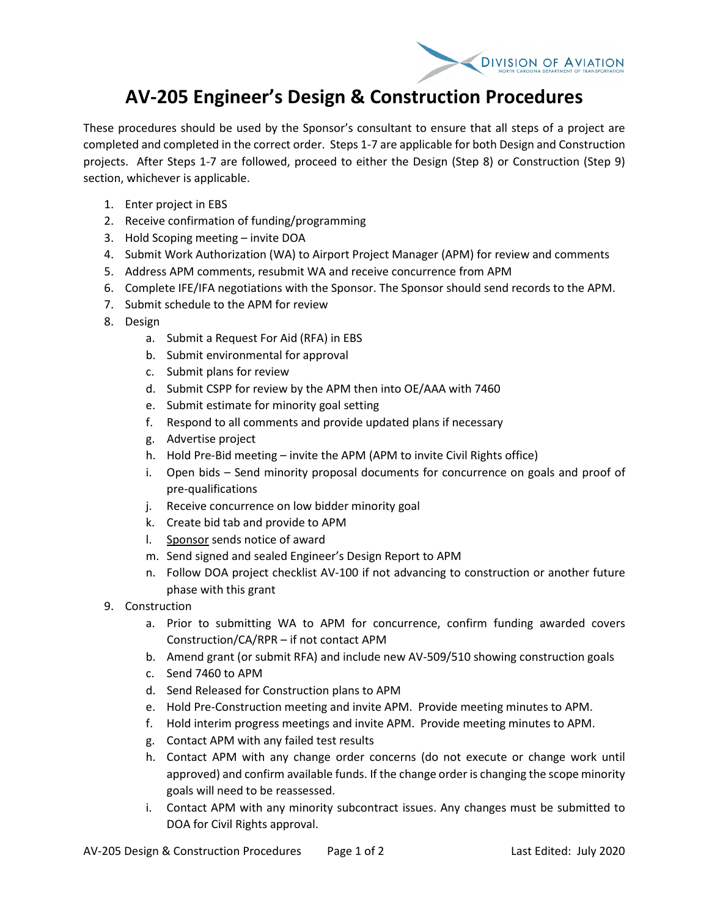

## **AV-205 Engineer's Design & Construction Procedures**

These procedures should be used by the Sponsor's consultant to ensure that all steps of a project are completed and completed in the correct order. Steps 1-7 are applicable for both Design and Construction projects. After Steps 1-7 are followed, proceed to either the Design (Step 8) or Construction (Step 9) section, whichever is applicable.

- 1. Enter project in EBS
- 2. Receive confirmation of funding/programming
- 3. Hold Scoping meeting invite DOA
- 4. Submit Work Authorization (WA) to Airport Project Manager (APM) for review and comments
- 5. Address APM comments, resubmit WA and receive concurrence from APM
- 6. Complete IFE/IFA negotiations with the Sponsor. The Sponsor should send records to the APM.
- 7. Submit schedule to the APM for review
- 8. Design
	- a. Submit a Request For Aid (RFA) in EBS
	- b. Submit environmental for approval
	- c. Submit plans for review
	- d. Submit CSPP for review by the APM then into OE/AAA with 7460
	- e. Submit estimate for minority goal setting
	- f. Respond to all comments and provide updated plans if necessary
	- g. Advertise project
	- h. Hold Pre-Bid meeting invite the APM (APM to invite Civil Rights office)
	- i. Open bids Send minority proposal documents for concurrence on goals and proof of pre-qualifications
	- j. Receive concurrence on low bidder minority goal
	- k. Create bid tab and provide to APM
	- l. Sponsor sends notice of award
	- m. Send signed and sealed Engineer's Design Report to APM
	- n. Follow DOA project checklist AV-100 if not advancing to construction or another future phase with this grant
- 9. Construction
	- a. Prior to submitting WA to APM for concurrence, confirm funding awarded covers Construction/CA/RPR – if not contact APM
	- b. Amend grant (or submit RFA) and include new AV-509/510 showing construction goals
	- c. Send 7460 to APM
	- d. Send Released for Construction plans to APM
	- e. Hold Pre-Construction meeting and invite APM. Provide meeting minutes to APM.
	- f. Hold interim progress meetings and invite APM. Provide meeting minutes to APM.
	- g. Contact APM with any failed test results
	- h. Contact APM with any change order concerns (do not execute or change work until approved) and confirm available funds. If the change order is changing the scope minority goals will need to be reassessed.
	- i. Contact APM with any minority subcontract issues. Any changes must be submitted to DOA for Civil Rights approval.